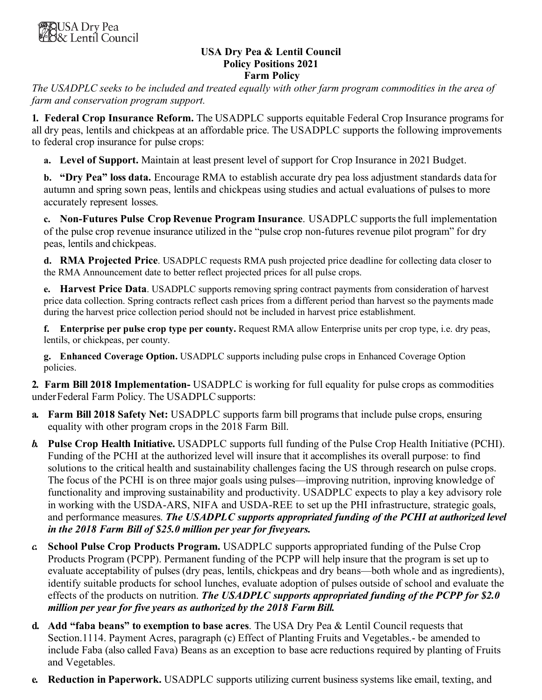#### **USA Dry Pea & Lentil Council Policy Positions 2021 Farm Policy**

*The USADPLC seeks to be included and treated equally with other farm program commodities in the area of farm and conservation program support.*

**1. Federal Crop Insurance Reform.** The USADPLC supports equitable Federal Crop Insurance programs for all dry peas, lentils and chickpeas at an affordable price. The USADPLC supports the following improvements to federal crop insurance for pulse crops:

**a. Level of Support.** Maintain at least present level of support for Crop Insurance in 2021 Budget.

**b. "Dry Pea" loss data.** Encourage RMA to establish accurate dry pea loss adjustment standards data for autumn and spring sown peas, lentils and chickpeas using studies and actual evaluations of pulses to more accurately represent losses.

**c. Non-Futures Pulse Crop Revenue Program Insurance**. USADPLC supportsthe full implementation of the pulse crop revenue insurance utilized in the "pulse crop non-futures revenue pilot program" for dry peas, lentils and chickpeas.

**d. RMA Projected Price**. USADPLC requests RMA push projected price deadline for collecting data closer to the RMA Announcement date to better reflect projected prices for all pulse crops.

**e. Harvest Price Data**. USADPLC supports removing spring contract payments from consideration of harvest price data collection. Spring contracts reflect cash prices from a different period than harvest so the payments made during the harvest price collection period should not be included in harvest price establishment.

**f. Enterprise per pulse crop type per county.** Request RMA allow Enterprise units per crop type, i.e. dry peas, lentils, or chickpeas, per county.

**g. Enhanced Coverage Option.** USADPLC supports including pulse crops in Enhanced Coverage Option policies.

**2. Farm Bill 2018 Implementation-** USADPLC is working for full equality for pulse crops as commodities under Federal Farm Policy. The USADPLC supports:

- **a. Farm Bill 2018 Safety Net:** USADPLC supports farm bill programs that include pulse crops, ensuring equality with other program crops in the 2018 Farm Bill.
- *b.* **Pulse Crop Health Initiative.** USADPLC supports full funding of the Pulse Crop Health Initiative (PCHI). Funding of the PCHI at the authorized level will insure that it accomplishes its overall purpose: to find solutions to the critical health and sustainability challenges facing the US through research on pulse crops. The focus of the PCHI is on three major goals using pulses—improving nutrition, inproving knowledge of functionality and improving sustainability and productivity. USADPLC expects to play a key advisory role in working with the USDA-ARS, NIFA and USDA-REE to set up the PHI infrastructure, strategic goals, and performance measures. *The USADPLC supports appropriated funding of the PCHI at authorized level in the 2018 Farm Bill of \$25.0 million per year for fiveyears.*
- *c.* **School Pulse Crop Products Program.** USADPLC supports appropriated funding of the Pulse Crop Products Program (PCPP). Permanent funding of the PCPP will help insure that the program is set up to evaluate acceptability of pulses (dry peas, lentils, chickpeas and dry beans—both whole and as ingredients), identify suitable products for school lunches, evaluate adoption of pulses outside of school and evaluate the effects of the products on nutrition. *The USADPLC supports appropriated funding of the PCPP for \$2.0 million per year for five years as authorized by the 2018 Farm Bill.*
- **d. Add "faba beans" to exemption to base acres**. The USA Dry Pea & Lentil Council requests that Section.1114. Payment Acres, paragraph (c) Effect of Planting Fruits and Vegetables.- be amended to include Faba (also called Fava) Beans as an exception to base acre reductions required by planting of Fruits and Vegetables.
- **e. Reduction in Paperwork.** USADPLC supports utilizing current business systems like email, texting, and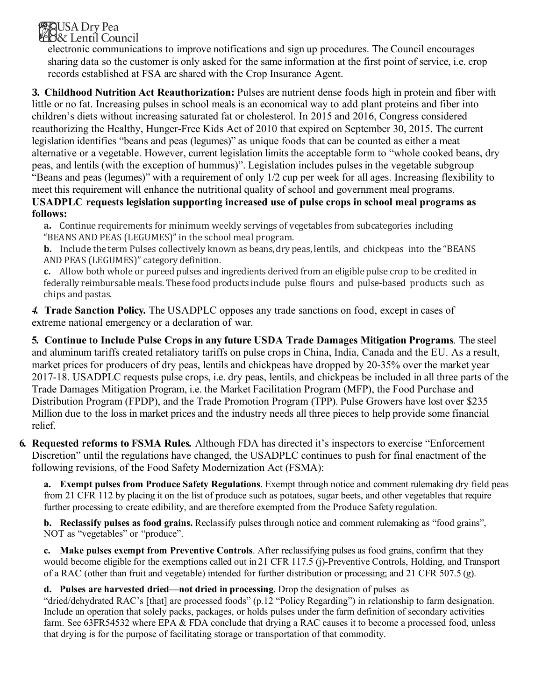### **MAUSA** Dry Pea **B&** Lentil Council

electronic communications to improve notifications and sign up procedures. The Council encourages sharing data so the customer is only asked for the same information at the first point of service, i.e. crop records established at FSA are shared with the Crop Insurance Agent.

**3. Childhood Nutrition Act Reauthorization:** Pulses are nutrient dense foods high in protein and fiber with little or no fat. Increasing pulses in school meals is an economical way to add plant proteins and fiber into children's diets without increasing saturated fat or cholesterol. In 2015 and 2016, Congress considered reauthorizing the Healthy, Hunger-Free Kids Act of 2010 that expired on September 30, 2015. The current legislation identifies "beans and peas (legumes)" as unique foods that can be counted as either a meat alternative or a vegetable. However, current legislation limits the acceptable form to "whole cooked beans, dry peas, and lentils (with the exception of hummus)". Legislation includes pulses in the vegetable subgroup "Beans and peas (legumes)" with a requirement of only 1/2 cup per week for all ages. Increasing flexibility to meet this requirement will enhance the nutritional quality of school and government meal programs.

**USADPLC requests legislation supporting increased use of pulse crops in school meal programs as follows:**

**a.** Continue requirements for minimum weekly servings of vegetables from subcategories including "BEANS AND PEAS (LEGUMES)" in the school meal program.

**b.** Include the term Pulses collectively known as beans, dry peas, lentils, and chickpeas into the "BEANS" AND PEAS (LEGUMES)" category definition.

**c.** Allow both whole or pureed pulses and ingredients derived from an eligible pulse crop to be credited in federally reimbursable meals. These food products include pulse flours and pulse-based products such as chips and pastas.

*4.* **Trade Sanction Policy***.* The USADPLC opposes any trade sanctions on food, except in cases of extreme national emergency or a declaration of war*.*

**5. Continue to Include Pulse Crops in any future USDA Trade Damages Mitigation Programs***.* The steel and aluminum tariffs created retaliatory tariffs on pulse crops in China, India, Canada and the EU. As a result, market prices for producers of dry peas, lentils and chickpeas have dropped by 20-35% over the market year 2017-18. USADPLC requests pulse crops, i.e. dry peas, lentils, and chickpeas be included in all three parts of the Trade Damages Mitigation Program, i.e. the Market Facilitation Program (MFP), the Food Purchase and Distribution Program (FPDP), and the Trade Promotion Program (TPP). Pulse Growers have lost over \$235 Million due to the loss in market prices and the industry needs all three pieces to help provide some financial relief.

**6. Requested reforms to FSMA Rules***.* Although FDA has directed it's inspectors to exercise "Enforcement Discretion" until the regulations have changed, the USADPLC continues to push for final enactment of the following revisions, of the Food Safety Modernization Act (FSMA):

**a. Exempt pulses from Produce Safety Regulations**. Exempt through notice and comment rulemaking dry field peas from 21 CFR 112 by placing it on the list of produce such as potatoes, sugar beets, and other vegetables that require further processing to create edibility, and are therefore exempted from the Produce Safety regulation.

**b. Reclassify pulses as food grains.** Reclassify pulses through notice and comment rulemaking as "food grains", NOT as "vegetables" or "produce".

**c. Make pulses exempt from Preventive Controls**. After reclassifying pulses as food grains, confirm that they would become eligible for the exemptions called out in 21 CFR 117.5 (j)-Preventive Controls, Holding, and Transport of a RAC (other than fruit and vegetable) intended for further distribution or processing; and 21 CFR 507.5 (g).

# **d. Pulses are harvested dried—not dried in processing**. Drop the designation of pulses as

"dried/dehydrated RAC's [that] are processed foods" (p.12 "Policy Regarding") in relationship to farm designation. Include an operation that solely packs, packages, or holds pulses under the farm definition of secondary activities farm. See 63FR54532 where EPA & FDA conclude that drying a RAC causes it to become a processed food, unless that drying is for the purpose of facilitating storage or transportation of that commodity.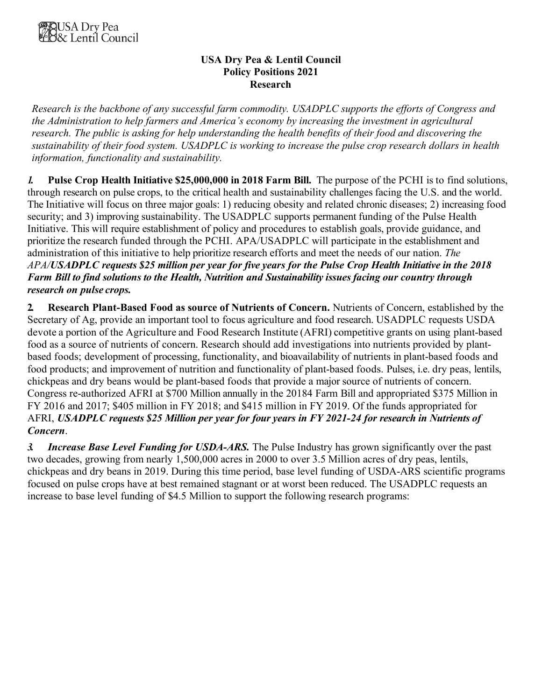#### **USA Dry Pea & Lentil Council Policy Positions 2021 Research**

*Research is the backbone of any successful farm commodity. USADPLC supports the efforts of Congress and the Administration to help farmers and America's economy by increasing the investment in agricultural research. The public is asking for help understanding the health benefits of their food and discovering the sustainability of their food system. USADPLC is working to increase the pulse crop research dollars in health information, functionality and sustainability.*

*1.* **Pulse Crop Health Initiative \$25,000,000 in 2018 Farm Bill.** The purpose of the PCHI is to find solutions, through research on pulse crops, to the critical health and sustainability challenges facing the U.S. and the world. The Initiative will focus on three major goals: 1) reducing obesity and related chronic diseases; 2) increasing food security; and 3) improving sustainability. The USADPLC supports permanent funding of the Pulse Health Initiative. This will require establishment of policy and procedures to establish goals, provide guidance, and prioritize the research funded through the PCHI. APA/USADPLC will participate in the establishment and administration of this initiative to help prioritize research efforts and meet the needs of our nation. *The APA/USADPLC requests \$25 million per year for five years for the Pulse Crop Health Initiative in the 2018 Farm Bill to find solutions to the Health, Nutrition and Sustainability issues facing our country through research on pulse crops.*

**2. Research Plant-Based Food as source of Nutrients of Concern.** Nutrients of Concern, established by the Secretary of Ag, provide an important tool to focus agriculture and food research. USADPLC requests USDA devote a portion of the Agriculture and Food Research Institute (AFRI) competitive grants on using plant-based food as a source of nutrients of concern. Research should add investigations into nutrients provided by plantbased foods; development of processing, functionality, and bioavailability of nutrients in plant-based foods and food products; and improvement of nutrition and functionality of plant-based foods. Pulses, i.e. dry peas, lentils, chickpeas and dry beans would be plant-based foods that provide a major source of nutrients of concern. Congress re-authorized AFRI at \$700 Million annually in the 20184 Farm Bill and appropriated \$375 Million in FY 2016 and 2017; \$405 million in FY 2018; and \$415 million in FY 2019. Of the funds appropriated for AFRI, *USADPLC requests \$25 Million per year for four years in FY 2021-24 for research in Nutrients of Concern*.

*3. Increase Base Level Funding for USDA-ARS.* The Pulse Industry has grown significantly over the past two decades, growing from nearly 1,500,000 acres in 2000 to over 3.5 Million acres of dry peas, lentils, chickpeas and dry beans in 2019. During this time period, base level funding of USDA-ARS scientific programs focused on pulse crops have at best remained stagnant or at worst been reduced. The USADPLC requests an increase to base level funding of \$4.5 Million to support the following research programs: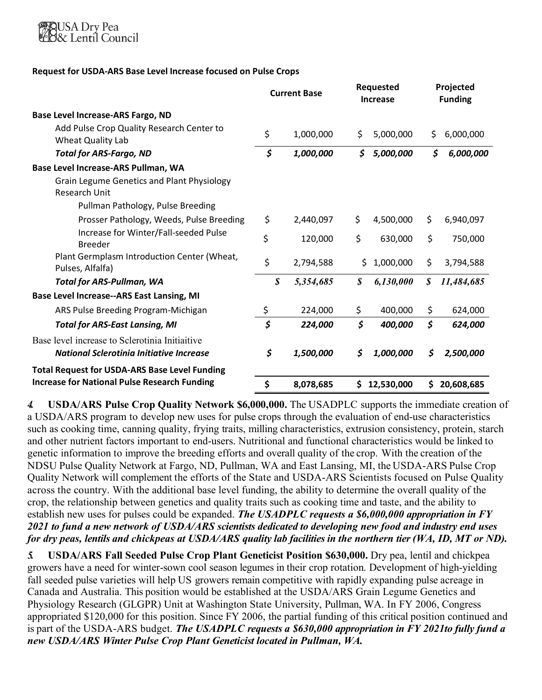

#### **Request for USDA-ARS Base Level Increase focused on Pulse Crops**

|                                                                                            | <b>Current Base</b>        |           | <b>Requested</b><br><b>Increase</b> |            | Projected<br><b>Funding</b> |            |
|--------------------------------------------------------------------------------------------|----------------------------|-----------|-------------------------------------|------------|-----------------------------|------------|
| Base Level Increase-ARS Fargo, ND                                                          |                            |           |                                     |            |                             |            |
| Add Pulse Crop Quality Research Center to<br>Wheat Quality Lab                             | \$                         | 1,000,000 | \$                                  | 5,000,000  | Ś                           | 6,000,000  |
| <b>Total for ARS-Fargo, ND</b>                                                             | \$                         | 1,000,000 | \$                                  | 5,000,000  | \$                          | 6,000,000  |
| Base Level Increase-ARS Pullman, WA                                                        |                            |           |                                     |            |                             |            |
| <b>Grain Legume Genetics and Plant Physiology</b><br><b>Research Unit</b>                  |                            |           |                                     |            |                             |            |
| Pullman Pathology, Pulse Breeding                                                          |                            |           |                                     |            |                             |            |
| Prosser Pathology, Weeds, Pulse Breeding                                                   | \$                         | 2,440,097 | \$                                  | 4,500,000  | \$                          | 6,940,097  |
| Increase for Winter/Fall-seeded Pulse<br><b>Breeder</b>                                    | \$                         | 120,000   | \$                                  | 630,000    | \$                          | 750,000    |
| Plant Germplasm Introduction Center (Wheat,<br>Pulses, Alfalfa)                            | \$                         | 2,794,588 | Ś.                                  | 1,000,000  | \$                          | 3,794,588  |
| <b>Total for ARS-Pullman, WA</b>                                                           | $\boldsymbol{\mathcal{S}}$ | 5,354,685 | \$                                  | 6,130,000  | $\boldsymbol{\mathcal{S}}$  | 11,484,685 |
| <b>Base Level Increase--ARS East Lansing, MI</b>                                           |                            |           |                                     |            |                             |            |
| ARS Pulse Breeding Program-Michigan                                                        | \$                         | 224,000   | \$                                  | 400,000    | \$                          | 624,000    |
| <b>Total for ARS-East Lansing, MI</b>                                                      | \$                         | 224,000   | \$                                  | 400,000    | \$                          | 624,000    |
| Base level increase to Sclerotinia Initiaitive<br>National Sclerotinia Initiative Increase | \$                         | 1,500,000 | \$                                  | 1,000,000  | S                           | 2,500,000  |
| <b>Total Request for USDA-ARS Base Level Funding</b>                                       |                            |           |                                     |            |                             |            |
| <b>Increase for National Pulse Research Funding</b>                                        | \$                         | 8,078,685 | \$                                  | 12,530,000 | \$                          | 20,608,685 |

*4.* **USDA/ARS Pulse Crop Quality Network \$6,000,000.** The USADPLC supports the immediate creation of a USDA/ARS program to develop new uses for pulse crops through the evaluation of end-use characteristics such as cooking time, canning quality, frying traits, milling characteristics, extrusion consistency, protein, starch and other nutrient factors important to end-users. Nutritional and functional characteristics would be linked to genetic information to improve the breeding efforts and overall quality of the crop. With the creation of the NDSU Pulse Quality Network at Fargo, ND, Pullman, WA and East Lansing, MI, the USDA-ARS Pulse Crop Quality Network will complement the efforts of the State and USDA-ARS Scientists focused on Pulse Quality across the country. With the additional base level funding, the ability to determine the overall quality of the crop, the relationship between genetics and quality traits such as cooking time and taste, and the ability to establish new uses for pulses could be expanded. *The USADPLC requests a \$6,000,000 appropriation in FY 2021 to fund a new network of USDA/ARS scientists dedicated to developing new food and industry end uses for dry peas, lentils and chickpeas at USDA/ARS quality lab facilities in the northern tier (WA, ID, MT or ND).*

*5.* **USDA/ARS Fall Seeded Pulse Crop Plant Geneticist Position \$630,000.** Dry pea, lentil and chickpea growers have a need for winter-sown cool season legumes in their crop rotation. Development of high-yielding fall seeded pulse varieties will help US growers remain competitive with rapidly expanding pulse acreage in Canada and Australia. This position would be established at the USDA/ARS Grain Legume Genetics and Physiology Research (GLGPR) Unit at Washington State University, Pullman, WA. In FY 2006, Congress appropriated \$120,000 for this position. Since FY 2006, the partial funding of this critical position continued and is part of the USDA-ARS budget. *The USADPLC requests a \$630,000 appropriation in FY 2021to fully fund a new USDA/ARS Winter Pulse Crop Plant Geneticist located in Pullman, WA.*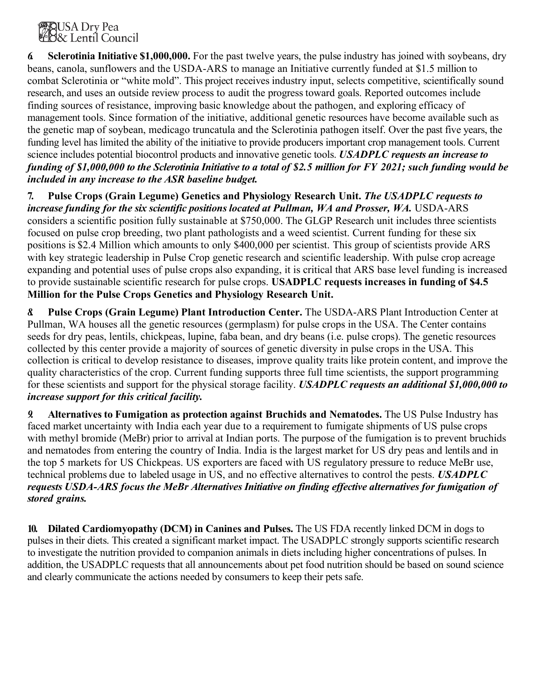

*6.* **Sclerotinia Initiative \$1,000,000.** For the past twelve years, the pulse industry has joined with soybeans, dry beans, canola, sunflowers and the USDA-ARS to manage an Initiative currently funded at \$1.5 million to combat Sclerotinia or "white mold". This project receives industry input, selects competitive, scientifically sound research, and uses an outside review process to audit the progress toward goals. Reported outcomes include finding sources of resistance, improving basic knowledge about the pathogen, and exploring efficacy of management tools. Since formation of the initiative, additional genetic resources have become available such as the genetic map of soybean, medicago truncatula and the Sclerotinia pathogen itself. Over the past five years, the funding level has limited the ability of the initiative to provide producers important crop management tools. Current science includes potential biocontrol products and innovative genetic tools. *USADPLC requests an increase to funding of \$1,000,000 to the Sclerotinia Initiative to a total of \$2.5 million for FY 2021; such funding would be included in any increase to the ASR baseline budget.*

**7. Pulse Crops (Grain Legume) Genetics and Physiology Research Unit.** *The USADPLC requests to increase funding for the six scientific positions located at Pullman, WA and Prosser, WA.* USDA-ARS considers a scientific position fully sustainable at \$750,000. The GLGP Research unit includes three scientists focused on pulse crop breeding, two plant pathologists and a weed scientist. Current funding for these six positions is \$2.4 Million which amounts to only \$400,000 per scientist. This group of scientists provide ARS with key strategic leadership in Pulse Crop genetic research and scientific leadership. With pulse crop acreage expanding and potential uses of pulse crops also expanding, it is critical that ARS base level funding is increased to provide sustainable scientific research for pulse crops. **USADPLC requests increases in funding of \$4.5 Million for the Pulse Crops Genetics and Physiology Research Unit.**

*8.* **Pulse Crops (Grain Legume) Plant Introduction Center.** The USDA-ARS Plant Introduction Center at Pullman, WA houses all the genetic resources (germplasm) for pulse crops in the USA. The Center contains seeds for dry peas, lentils, chickpeas, lupine, faba bean, and dry beans (i.e. pulse crops). The genetic resources collected by this center provide a majority of sources of genetic diversity in pulse crops in the USA. This collection is critical to develop resistance to diseases, improve quality traits like protein content, and improve the quality characteristics of the crop. Current funding supports three full time scientists, the support programming for these scientists and support for the physical storage facility. *USADPLC requests an additional \$1,000,000 to increase support for this critical facility.*

*9.* **Alternatives to Fumigation as protection against Bruchids and Nematodes.** The US Pulse Industry has faced market uncertainty with India each year due to a requirement to fumigate shipments of US pulse crops with methyl bromide (MeBr) prior to arrival at Indian ports. The purpose of the fumigation is to prevent bruchids and nematodes from entering the country of India. India is the largest market for US dry peas and lentils and in the top 5 markets for US Chickpeas. US exporters are faced with US regulatory pressure to reduce MeBr use, technical problems due to labeled usage in US, and no effective alternatives to control the pests. *USADPLC requests USDA-ARS focus the MeBr Alternatives Initiative on finding effective alternatives for fumigation of stored grains.*

**10. Dilated Cardiomyopathy (DCM) in Canines and Pulses.** The US FDA recently linked DCM in dogs to pulses in their diets. This created a significant market impact. The USADPLC strongly supports scientific research to investigate the nutrition provided to companion animals in diets including higher concentrations of pulses. In addition, the USADPLC requests that all announcements about pet food nutrition should be based on sound science and clearly communicate the actions needed by consumers to keep their pets safe.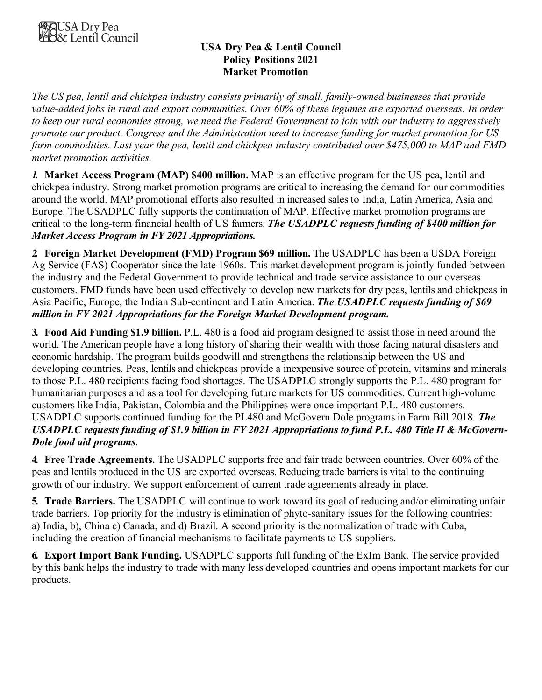

### **USA Dry Pea & Lentil Council Policy Positions 2021 Market Promotion**

*The US pea, lentil and chickpea industry consists primarily of small, family-owned businesses that provide value-added jobs in rural and export communities. Over 60% of these legumes are exported overseas. In order to keep our rural economies strong, we need the Federal Government to join with our industry to aggressively promote our product. Congress and the Administration need to increase funding for market promotion for US farm commodities. Last year the pea, lentil and chickpea industry contributed over \$475,000 to MAP and FMD market promotion activities.*

*1.* **Market Access Program (MAP) \$400 million.** MAP is an effective program for the US pea, lentil and chickpea industry. Strong market promotion programs are critical to increasing the demand for our commodities around the world. MAP promotional efforts also resulted in increased sales to India, Latin America, Asia and Europe. The USADPLC fully supports the continuation of MAP. Effective market promotion programs are critical to the long-term financial health of US farmers. *The USADPLC requests funding of \$400 million for Market Access Program in FY 2021 Appropriations.*

*2.* **Foreign Market Development (FMD) Program \$69 million.** The USADPLC has been a USDA Foreign Ag Service (FAS) Cooperator since the late 1960s. This market development program is jointly funded between the industry and the Federal Government to provide technical and trade service assistance to our overseas customers. FMD funds have been used effectively to develop new markets for dry peas, lentils and chickpeas in Asia Pacific, Europe, the Indian Sub-continent and Latin America. *The USADPLC requests funding of \$69 million in FY 2021 Appropriations for the Foreign Market Development program.*

**3. Food Aid Funding \$1.9 billion.** P.L. 480 is a food aid program designed to assist those in need around the world. The American people have a long history of sharing their wealth with those facing natural disasters and economic hardship. The program builds goodwill and strengthens the relationship between the US and developing countries. Peas, lentils and chickpeas provide a inexpensive source of protein, vitamins and minerals to those P.L. 480 recipients facing food shortages. The USADPLC strongly supports the P.L. 480 program for humanitarian purposes and as a tool for developing future markets for US commodities. Current high-volume customers like India, Pakistan, Colombia and the Philippines were once important P.L. 480 customers. USADPLC supports continued funding for the PL480 and McGovern Dole programs in Farm Bill 2018. *The USADPLC requests funding of \$1.9 billion in FY 2021 Appropriations to fund P.L. 480 Title II & McGovern-Dole food aid programs*.

**4. Free Trade Agreements.** The USADPLC supports free and fair trade between countries. Over 60% of the peas and lentils produced in the US are exported overseas. Reducing trade barriers is vital to the continuing growth of our industry. We support enforcement of current trade agreements already in place.

**5. Trade Barriers.** The USADPLC will continue to work toward its goal of reducing and/or eliminating unfair trade barriers. Top priority for the industry is elimination of phyto-sanitary issues for the following countries: a) India, b), China c) Canada, and d) Brazil. A second priority is the normalization of trade with Cuba, including the creation of financial mechanisms to facilitate payments to US suppliers.

**6. Export Import Bank Funding.** USADPLC supports full funding of the ExIm Bank. The service provided by this bank helps the industry to trade with many less developed countries and opens important markets for our products.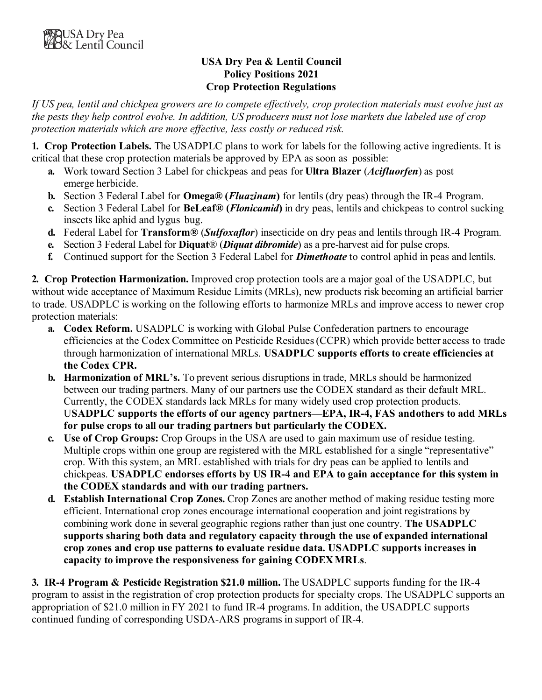### **USA Dry Pea & Lentil Council Policy Positions 2021 Crop Protection Regulations**

*If US pea, lentil and chickpea growers are to compete effectively, crop protection materials must evolve just as the pests they help control evolve. In addition, US producers must not lose markets due labeled use of crop protection materials which are more effective, less costly or reduced risk.*

**1. Crop Protection Labels.** The USADPLC plans to work for labels for the following active ingredients. It is critical that these crop protection materials be approved by EPA as soon as possible:

- **a.** Work toward Section 3 Label for chickpeas and peas for **Ultra Blazer** (*Acifluorfen*) as post emerge herbicide.
- **b.** Section 3 Federal Label for **Omega® (***Fluazinam***)** for lentils (dry peas) through the IR-4 Program.
- **c.** Section 3 Federal Label for **BeLeaf® (***Flonicamid***)** in dry peas, lentils and chickpeas to control sucking insects like aphid and lygus bug.
- **d.** Federal Label for **Transform®** (*Sulfoxaflor*) insecticide on dry peas and lentils through IR-4 Program.
- **e.** Section 3 Federal Label for **Diquat**® (*Diquat dibromide*) as a pre-harvest aid for pulse crops.
- **f.** Continued support for the Section 3 Federal Label for *Dimethoate* to control aphid in peas and lentils.

**2. Crop Protection Harmonization.** Improved crop protection tools are a major goal of the USADPLC, but without wide acceptance of Maximum Residue Limits (MRLs), new products risk becoming an artificial barrier to trade. USADPLC is working on the following efforts to harmonize MRLs and improve access to newer crop protection materials:

- **a. Codex Reform.** USADPLC is working with Global Pulse Confederation partners to encourage efficiencies at the Codex Committee on Pesticide Residues(CCPR) which provide better access to trade through harmonization of international MRLs. **USADPLC supports efforts to create efficiencies at the Codex CPR.**
- **b. Harmonization of MRL's.** To prevent serious disruptions in trade, MRLs should be harmonized between our trading partners. Many of our partners use the CODEX standard as their default MRL. Currently, the CODEX standards lack MRLs for many widely used crop protection products. U**SADPLC supports the efforts of our agency partners—EPA, IR-4, FAS andothers to add MRLs for pulse crops to all our trading partners but particularly the CODEX.**
- **c. Use of Crop Groups:** Crop Groups in the USA are used to gain maximum use of residue testing. Multiple crops within one group are registered with the MRL established for a single "representative" crop. With this system, an MRL established with trials for dry peas can be applied to lentils and chickpeas. **USADPLC endorses efforts by US IR-4 and EPA to gain acceptance for this system in the CODEX standards and with our trading partners.**
- **d. Establish International Crop Zones.** Crop Zones are another method of making residue testing more efficient. International crop zones encourage international cooperation and joint registrations by combining work done in several geographic regions rather than just one country. **The USADPLC supports sharing both data and regulatory capacity through the use of expanded international crop zones and crop use patterns to evaluate residue data. USADPLC supports increases in capacity to improve the responsiveness for gaining CODEXMRLs**.

**3. IR-4 Program & Pesticide Registration \$21.0 million.** The USADPLC supports funding for the IR-4 program to assist in the registration of crop protection products for specialty crops. The USADPLC supports an appropriation of \$21.0 million in FY 2021 to fund IR-4 programs. In addition, the USADPLC supports continued funding of corresponding USDA-ARS programs in support of IR-4.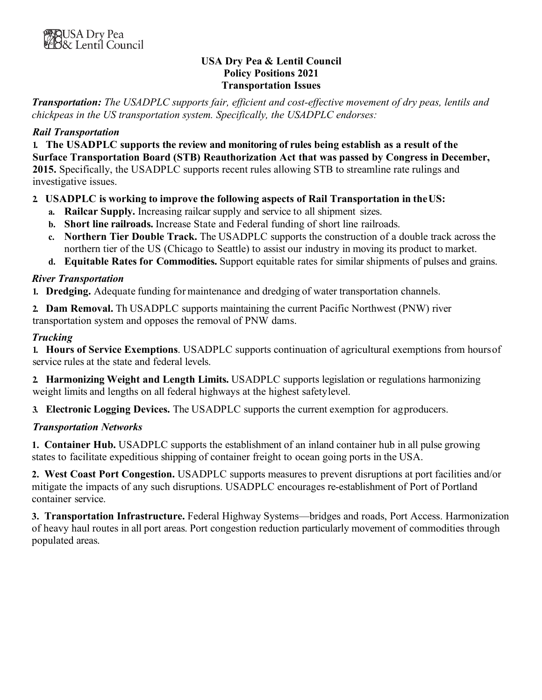### **USA Dry Pea & Lentil Council Policy Positions 2021 Transportation Issues**

*Transportation: The USADPLC supports fair, efficient and cost-effective movement of dry peas, lentils and chickpeas in the US transportation system. Specifically, the USADPLC endorses:*

## *Rail Transportation*

**1. The USADPLC supports the review and monitoring of rules being establish as a result of the Surface Transportation Board (STB) Reauthorization Act that was passed by Congress in December, 2015.** Specifically, the USADPLC supports recent rules allowing STB to streamline rate rulings and investigative issues.

### **2. USADPLC is working to improve the following aspects of Rail Transportation in theUS:**

- **a. Railcar Supply.** Increasing railcar supply and service to all shipment sizes.
- **b. Short line railroads.** Increase State and Federal funding of short line railroads.
- **c. Northern Tier Double Track.** The USADPLC supports the construction of a double track across the northern tier of the US (Chicago to Seattle) to assist our industry in moving its product to market.
- **d. Equitable Rates for Commodities.** Support equitable rates for similar shipments of pulses and grains.

### *River Transportation*

**1. Dredging.** Adequate funding for maintenance and dredging of water transportation channels.

**2. Dam Removal.** Th USADPLC supports maintaining the current Pacific Northwest (PNW) river transportation system and opposes the removal of PNW dams.

### *Trucking*

**1. Hours of Service Exemptions**. USADPLC supports continuation of agricultural exemptions from hoursof service rules at the state and federal levels.

**2. Harmonizing Weight and Length Limits.** USADPLC supports legislation or regulations harmonizing weight limits and lengths on all federal highways at the highest safetylevel.

**3. Electronic Logging Devices.** The USADPLC supports the current exemption for agproducers.

# *Transportation Networks*

**1. Container Hub.** USADPLC supports the establishment of an inland container hub in all pulse growing states to facilitate expeditious shipping of container freight to ocean going ports in the USA.

**2. West Coast Port Congestion.** USADPLC supports measures to prevent disruptions at port facilities and/or mitigate the impacts of any such disruptions. USADPLC encourages re-establishment of Port of Portland container service.

**3. Transportation Infrastructure.** Federal Highway Systems—bridges and roads, Port Access. Harmonization of heavy haul routes in all port areas. Port congestion reduction particularly movement of commodities through populated areas.